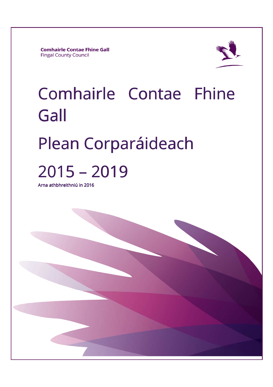**Comhairle Contae Fhine Gall Fingal County Council** 



# Comhairle Contae Fhine Gall Plean Corparáideach 2015 –2019

Arna athbhreithniú in 2016

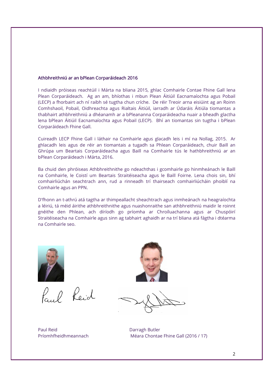#### Athbhreithniú ar an bPlean Corparáideach 2016

I ndiaidh próiseas reachtúil i Márta na bliana 2015, ghlac Comhairle Contae Fhine Gall lena Plean Corparáideach. Ag an am, bhíothas i mbun Plean Áitiúil Eacnamaíochta agus Pobail (LECP) a fhorbairt ach ní raibh sé tugtha chun críche. De réir Treoir arna eisiúint ag an Roinn Comhshaoil, Pobail, Oidhreachta agus Rialtais Áitiúil, iarradh ar Údaráis Áitiúla tiomantas a thabhairt athbhreithniú a dhéanamh ar a bPleananna Corparáideacha nuair a bheadh glactha lena bPlean Áitiúil Eacnamaíochta agus Pobail (LECP). Bhí an tiomantas sin tugtha i bPlean Corparáideach Fhine Gall.

Cuireadh LECP Fhine Gall i láthair na Comhairle agus glacadh leis i mí na Nollag, 2015. Ar ghlacadh leis agus de réir an tiomantais a tugadh sa Phlean Corparáideach, chuir Baill an Ghrúpa um Beartais Corparáideacha agus Baill na Comhairle tús le hathbhreithniú ar an bPlean Corparáideach i Márta, 2016.

Ba chuid den phróiseas Athbhreithnithe go ndeachthas i gcomhairle go hinmheánach le Baill na Comhairle, le Coistí um Beartais Straitéiseacha agus le Baill Foirne. Lena chois sin, bhí comhairliúchán seachtrach ann, rud a rinneadh trí thairseach comhairliúcháin phoiblí na Comhairle agus an PPN.

D'fhonn an t-athrú atá tagtha ar thimpeallacht sheachtrach agus inmheánach na heagraíochta a léiriú, tá méid áirithe athbhreithnithe agus nuashonraithe san athbhreithniú maidir le roinnt gnéithe den Phlean, ach díríodh go príomha ar Chroíluachanna agus ar Chuspóirí Straitéiseacha na Comhairle agus sinn ag tabhairt aghaidh ar na trí bliana atá fágtha i dtéarma na Comhairle seo.



Paul Reid



Paul Reid Darragh Butler

Príomhfheidhmeannach Méara Chontae Fhine Gall (2016 / 17)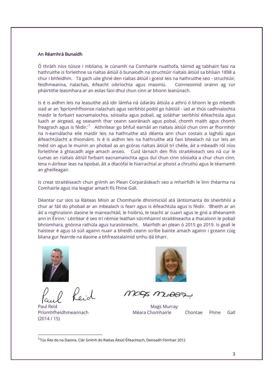#### An Réamhrá Bunaidh

Ó thráth níos túisce i mbliana, le cúnamh na Comhairle nuathofa, táimid ag tabhairt faoi na hathruithe is forleithne sa rialtas áitiúil ó bunaíodh na struchtúir rialtais áitiúil sa bhliain 1898 a chur i bhfeidhm. Tá gach uile ghné den rialtas áitiúil i gceist leis na hathruithe seo - struchtúir, feidhmeanna, rialachas, éifeacht oibríochta agus maoiniú. Coinneoimid orainn ag cur pháirtithe leasmhara ar an eolas faoi dhul chun cinn ar bhonn leanúnach.

Is é is aidhm leis na leasuithe atá idir lámha ná údaráis áitiúla a athrú ó bhonn le go mbeidh siad ar an 'bpríomhfhoinse rialachais agus seirbhísí poiblí go háitiúil - iad ar thús cadhnaíochta maidir le forbairt eacnamaíochta, sóisialta agus pobail, ag soláthar seirbhísí éifeachtúla agus luach ar airgead, ag seasamh thar ceann saoránach agus pobal, chomh maith agus chomh freagrach agus is féidir.'<sup>1</sup> Aithnítear go bhfuil earnáil an rialtais áitiúil chun cinn ar fhormhór na n-earnálacha eile maidir leis na hathruithe atá déanta ann chun costais a laghdú agus éifeachtúlacht a thiomáint. Is é is aidhm leis na hathruithe atá faoi bhealach ná cur leis an méid sin agus le muinín an phobail as an gcóras rialtais áitiúil trí chéile, áit a mbeadh ról níos forleithne á ghlacadh aige amach anseo. Cuid lárnach den fhís straitéiseach seo ná cur le cumas an rialtais áitiúil forbairt eacnamaíochta agus dul chun cinn sóisialta a chur chun cinn, lena n-áirítear leas na bpobal, áit a dtacófaí le hiarrachtaí ar phoist a chruthú agus le téarnamh an gheilleagair.

Is creat straitéiseach chun gnímh an Plean Corparáideach seo a mhairfidh le linn théarma na Comhairle agus ina leagtar amach fís Fhine Gall.

Déantar cur síos sa Ráiteas Misin ar Chomhairle dhinimiciúil atá lántiomanta do sheirbhísí a chur ar fáil do phobail ar an mbealach is fearr agus is éifeachtúla agus is féidir. 'Bheith ar an áit a roghnaíonn daoine le maireachtáil, le hoibriú, le teacht ar cuairt agus le gnó a dhéanamh ann in Éirinn.' Léirítear é seo trí réimse leathan sócmhainní straitéiseacha a thacaíonn le pobail bhríomhara, gnónna rathúla agus turasóireacht. Mairfidh an plean ó 2015 go 2019. Is geall le haistear é agus tá súil againn nuair a bheidh ceann scríbe bainte amach againn i gceann cúig bliana gur fearrde na daoine a bhfreastalaímid orthu dá bharr.



O Roid

(2014 / 15)

-



MOSS MU<del>DO</del>S

Paul Reid Nags Murray Príomhfheidhmeannach Méara Chomhairle Chontae Fhine Gall

<sup>1</sup> 'Tús Áite do na Daoine, Clár Gnímh do Rialtas Áitiúil Éifeachtach, Deireadh Fómhair 2012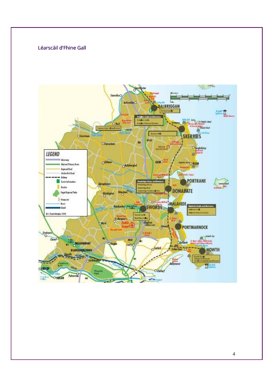# Léarscáil d'Fhine Gall

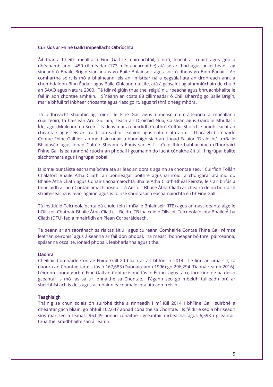#### Cur síos ar Fhine Gall/Timpeallacht Oibríochta

Áit thar a bheith mealltach Fine Gall le maireachtáil, oibriú, teacht ar cuairt agus gnó a dhéanamh ann. 450 ciliméadar (173 míle chearnaithe) atá sé ar fhad agus ar leithead, ag síneadh ó Bhaile Brigín siar anuas go Baile Bhlainséir agus soir ó dheas go Binn Éadair. An comhartha sóirt is mó a bhaineann leis an limistéar ná a éagsúlaí atá an tírdhreach ann, a chumhdaíonn Binn Éadair agus Baile Ghleann na Life, atá á gcosaint ag ainmniúcháin de chuid an SAAO agus Natura 2000. Tá idir réigiúin thuaithe, réigiúin uirbeacha agus bhruachbhailte le fáil in aon chontae amháin. Síneann an cósta 88 cilliméadar ó Chill Bharróg go Baile Brigín, mar a bhfuil trí inbhear chosanta agus riasc goirt, agus trí thrá dhéag mhóra.

Tá oidhreacht shaibhir ag roinnt le Fine Gall agus i measc na n-áiteanna a mheallann cuairteoirí, tá Caisleán Ard Giolláin, Teach an Droichid Nua, Caisleán agus Gairdíní Mhullach Íde, agus Muileann na Sceirí. Is deas mar a chuirfidh Ceathrú Cultúir Shoird le hoidhreacht an cheantair agus leis an traidisiún saibhir ealaíon agus cultúir atá ann. Thacaigh Comhairle Contae Fhine Gall leis an méid sin nuair a bhunaigh siad an tIonad Ealaíon 'Draíocht' i mBaile Bhlainséir agus Ionad Cultúir Shéamuis Ennis san Aill. Cuid fhíorthábhachtach d'fhorbairt Fhine Gall is ea rannpháirtíocht an phobail i gcumainn do lucht cónaithe áitiúil, i ngrúpaí bailte slachtmhara agus i ngrúpaí pobail.

Is iomaí buntáiste eacnamaíochta atá ar leac an dorais againn sa chontae seo. Cuirfidh Tollán Chalafort Bhaile Átha Cliath, an bonneagar bóithre agus iarnróid, a chóngaraí atáimid do Bhaile Átha Cliath agus Conair Eacnamaíochta Bhaile Átha Cliath-Bhéal Feirste, leis an bhfás a thiocfaidh ar an gContae amach anseo. Tá Aerfort Bhaile Átha Cliath ar cheann de na buntáistí straitéiseacha is fearr againn agus is foinse shuntasach eacnamaíochta é i bhFine Gall.

Tá Institiúid Teicneolaíochta dá chuid féin i mBaile Bhlainséir (ITB) agus an-nasc déanta aige le hOllscoil Chathair Bhaile Átha Cliath. Beidh ITB ina cuid d'Ollscoil Teicneolaíochta Bhaile Átha Cliath (DTU) fad a mhairfidh an Plean Corparáideach.

Tá beann ar an saoránach sa rialtas áitiúil agus cuireann Comhairle Contae Fhine Gall réimse leathan seirbhísí agus áiseanna ar fáil don phobal, ina measc, bonneagar bóithre, páirceanna, spásanna oscailte, ionaid phobail, leabharlanna agus tithe.

#### Daonra

Cheiliúir Comhairle Contae Fhine Gall 20 bliain ar an bhfód in 2014. Le linn an ama sin, tá daonra an Chontae tar éis fás ó 167,683 (Daonáireamh 1996) go 296,294 (Daonáireamh 2016). Léiríonn sonraí gurb é Fine Gall an Contae is mó fás in Éirinn, agus tá ceithre cinn de na deich gceantar is mó fás sa tír lonnaithe sa Chontae. Fágann seo go mbeidh tuilleadh brú ar sheirbhísí ach is deis agus acmhainn eacnamaíochta atá ann freisin.

#### **Teaghlaigh**

Tháinig sé chun solais ón suirbhé tithe a rinneadh i mí Iúil 2014 i bhFine Gall, suirbhé a dhéantar gach bliain, go bhfuil 102,647 aonad cónaithe sa Chontae. Is féidir é seo a bhriseadh síos mar seo a leanas: 96,049 aonad cónaithe i gceantair uirbeacha, agus 6,598 i gceantair thuaithe, sráidbhailte san áireamh.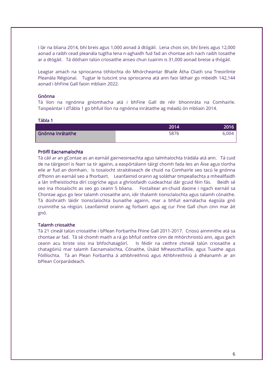I lár na bliana 2014, bhí breis agus 1,000 aonad á dtógáil. Lena chois sin, bhí breis agus 12,000 aonad a raibh cead pleanála tugtha lena n-aghaidh fud fad an chontae ach nach raibh tosaithe ar a dtógáil. Tá dóthain talún criosaithe anseo chun tuairim is 31,000 aonad breise a thógáil.

Leagtar amach na spriocanna tithíochta do Mhórcheantar Bhaile Átha Cliath sna Treoirlínte Pleanála Réigiúnaí. Tugtar le tuiscint sna spriocanna atá ann faoi láthair go mbeidh 142,144 aonad i bhFine Gall faoin mbliain 2022.

#### Gnónna

Tá líon na ngnónna gníomhacha atá i bhFine Gall de réir bhonnráta na Comhairle. Taispeántar i dTábla 1 go bhfuil líon na ngnónna inrátaithe ag méadú ón mbliain 2014.

#### Tábla 1

|                   | 2014 | <b>2016</b> |
|-------------------|------|-------------|
| Gnónna Inrátaithe | 5876 | 6.004       |

#### Próifíl Eacnamaíochta

Tá cáil ar an gContae as an earnáil gairneoireachta agus talmhaíochta trádála atá ann. Tá cuid de na táirgeoirí is fearr sa tír againn, a easpórtálann táirgí chomh fada leis an Áise agus tíortha eile ar fud an domhain. Is tosaíocht straitéiseach de chuid na Comhairle seo tacú le gnónna d'fhonn an earnáil seo a fhorbairt. Leanfaimid orainn ag soláthar timpeallachta a mheallfaidh a lán infheistíochta dírí coigríche agus a ghríosfaidh cuideachtaí dár gcuid féin fás. Beidh sé seo ina thosaíocht as seo go ceann 5 bliana. Fostaítear an-chuid daoine i ngach earnáil sa Chontae agus go leor talamh criosaithe ann, idir thalamh tionsclaíochta agus talamh cónaithe. Tá dúshraith láidir tionsclaíochta bunaithe againn, mar a bhfuil earnálacha éagsúla gnó cruinnithe sa réigiún. Leanfaimid orainn ag forbairt agus ag cur Fine Gall chun cinn mar áit gnó.

#### Talamh criosaithe

Tá 21 cineál talún criosaithe i bPlean Forbartha Fhine Gall 2011-2017. Criosú ainmnithe atá sa chontae ar fad. Tá sé chomh maith a rá go bhfuil ceithre cinn de mhórchriostú ann, agus gach ceann acu briste síos ina bhfochatagóirí. Is féidir na ceithre chineál talún criosaithe a chatagóiriú mar talamh Eacnamaíochta, Cónaithe, Úsáid Mheasctha/Eile, agus Tuaithe agus Fóillíochta. Tá an Plean Forbartha á athbhreithniú agus Athbhreithniú á dhéanamh ar an bPlean Corparáideach.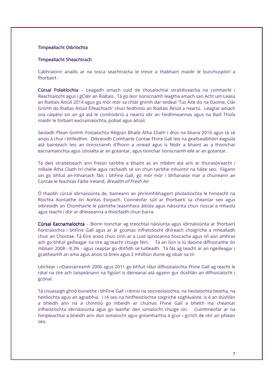#### Timpeallacht Oibríochta

#### Timpeallacht Sheachtrach

Cabhraíonn anailís ar na tosca seachtracha le treoir a thabhairt maidir le bunchuspóirí a fhorbairt -

Cúrsaí Polaitíochta – Leagadh amach cuid de thosaíochtaí straitéiseacha na comhairle i Reachtaíocht agus i gCláir an Rialtais. Tá go leor tionscnamh leagtha amach san Acht um Leasú an Rialtais Áitiúil 2014 agus go mór mór sa chlár gnímh dar teideal 'Tús Áite do na Daoine, Clár Gnímh do Rialtas Áitiúil Éifeachtach' chun feidhmiú an Rialtais Áitiúil a neartú. Leagtar amach sna cáipéisí sin an gá atá le comhoibriú a neartú idir an Feidhmeannas agus na Baill Thofa maidir le forbairt eacnamaíochta, pobail agus áitiúil.

Seoladh Plean Gnímh Fostaíochta Réigiún Bhaile Átha Cliath i dtús na bliana 2016 agus tá sé anois á chur i bhfeidhm. Oibreoidh Comhairle Contae Fhine Gall leis na geallsealbhóirí éagsúla atá bainteach leis an tionscnamh d'fhonn a oiread agus is féidir a bhaint as a thionchar eacnamaíochta agus sóisialta ar an gceantar, agus tionchar tionscnamh eile ar an gceantar.

Tá deis straitéiseach ann freisin tairbhe a bhaint as an mbéim atá arís ar thurasóireacht i mBaile Átha Cliath trí chéile agus rachaidh sé sin chun tairbhe mhuintir na háite seo. Fágann sin go bhfuil an-mhianach fáis i bhFine Gall, go mór mór i bhfianaise mar a chuireann an Contae le feachtas Fáilte Ireland, Breadth of Fresh Air.

Ó thaobh cúrsaí idirnáisiúnta de, baineann an phríomhbhagairt pholaitíochta le himeacht na Ríochta Aontaithe ón Aontas Eorpach. Coinneofar súil ar fhorbairtí sa cheantar seo agus oibreoidh an Chomhairle le páirtithe leasmhara áitiúla agus náisiúnta chun rioscaí a mhaolú agus teacht i dtír ar dheiseanna a thiocfaidh chun barra.

Cúrsaí Eacnamaíochta - Bíonn tionchar ag treochtaí náisiúnta agus idirnáisiúnta ar fhorbairt fiontraíochta i bhFine Gall agus ar ár gcumas infheistíocht dhíreach choigríche a mhealladh chun an Chontae. Tá Éire anois chun cinn ar a cuid spriocanna fioscacha agus níl aon amhras ach go bhfuil geilleagar na tíre ag teacht chuige féin. Tá an líon is lú daoine dífhostaithe ón mbliain 2008 - 8.3% - agus ceaptar go dtitfidh sé tuilleadh. Tá fás ag teacht ar an ngeilleagar i gcaitheamh an ama agus anois tá breis agus 2 mhilliún duine ag obair sa tír.

Léirítear i nDaonáireamh 2006 agus 2011 go bhfuil rátaí dífhostaíochta Fhine Gall ag teacht le rátaí na tíre ach taispeánann na figiúirí is deireanaí atá againn gur dúshlán an dífhostaíocht i gcónaí.

Tá cnuasaigh ghnó bunaithe i bhFine Gall i réimsí na teicneolaíochta, na heolaíochta beatha, na heitlíochta agus an agraibhia. I ré seo na hinfheistíochta coigríche soghluaiste, is é an dúshlán a bheidh ann ná a chinntiú go mbeidh ar chumas Fhine Gall a bheith ina cheantar infheistíochta idirnáisiúnta agus go leanfar den iomaíocht chuige sin. Cuimhneofar ar na himpleachtaí a bheidh ann don iomaíocht agus gníomhartha á gcur i gcrích de réir an phlean seo.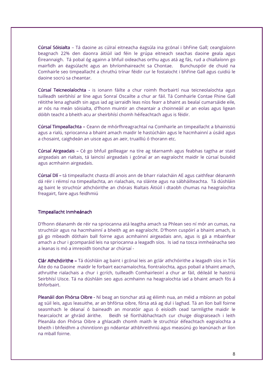Cúrsaí Sóisialta - Tá daoine as cúlraí eitneacha éagsúla ina gcónaí i bhFine Gall; ceanglaíonn beagnach 22% den daonra áitiúil iad féin le grúpa eitneach seachas daoine geala agus Éireannaigh. Tá pobal óg againn a bhfuil oideachas orthu agus atá ag fás, rud a chiallaíonn go mairfidh an éagsúlacht agus an bhríomhaireacht sa Chontae. Bunchuspóir de chuid na Comhairle seo timpeallacht a chruthú trínar féidir cur le fostaíocht i bhFine Gall agus cuidiú le daoine socrú sa cheantar.

Cúrsaí Teicneolaíochta - is ionann fáilte a chur roimh fhorbairtí nua teicneolaíochta agus tuilleadh seirbhísí ar líne agus Sonraí Oscailte a chur ar fáil. Tá Comhairle Contae Fhine Gall réitithe lena aghaidh sin agus iad ag iarraidh leas níos fearr a bhaint as bealaí cumarsáide eile, ar nós na meán sóisialta, d'fhonn muintir an cheantair a choinneáil ar an eolas agus ligean dóibh teacht a bheith acu ar sheirbhísí chomh héifeachtach agus is féidir.

Cúrsaí Timpeallachta – Ceann de mhórfhreagrachtaí na Comhairle an timpeallacht a bhainistiú agus a rialú, spriocanna a bhaint amach maidir le hastúcháin agus le hacmhainní a úsáid agus a chosaint, caighdeán an uisce agus an aeir, truailliú ó thorann etc.

Cúrsaí Airgeadais – Cé go bhfuil geilleagar na tíre ag téarnamh agus feabhas tagtha ar staid airgeadais an rialtais, tá laincisí airgeadais i gcónaí ar an eagraíocht maidir le cúrsaí buiséid agus acmhainn airgeadais.

Cúrsaí Dlí – tá timpeallacht chasta dlí anois ann de bharr rialacháin AE agus caithfear déanamh dá réir i réimsí na timpeallachta, an rialachais, na sláinte agus na sábháilteachta. Tá dúshláin ag baint le struchtúr athchóirithe an chórais Rialtais Áitiúil i dtaobh chumas na heagraíochta freagairt, faire agus feidhmiú

#### Timpeallacht Inmheánach

D'fhonn déanamh de réir na spriocanna atá leagtha amach sa Phlean seo ní mór an cumas, na struchtúir agus na hacmhainní a bheith ag an eagraíocht. D'fhonn cuspóirí a bhaint amach, is gá go mbeadh dóthain ball foirne agus acmhainní airgeadais ann, agus is gá a mbainfear amach a chur i gcomparáid leis na spriocanna a leagadh síos. Is iad na tosca inmheánacha seo a leanas is mó a imreoidh tionchar ar chúrsaí -

Clár Athchóirithe – Tá dúshláin ag baint i gcónaí leis an gclár athchóirithe a leagadh síos in Tús Áite do na Daoine maidir le forbairt eacnamaíochta, fiontraíochta, agus pobail a bhaint amach, athruithe rialachais a chur i gcrích, tuilleadh Comhairleoirí a chur ar fáil, déileáil le haistriú Seirbhísí Uisce. Tá na dúshláin seo agus acmhainn na heagraíochta iad a bhaint amach fós á bhforbairt.

Pleanáil don Fhórsa Oibre - Ní beag an tionchar atá ag éilimh nua, an méid a mbíonn an pobal ag súil leis, agus leasuithe, ar an bhfórsa oibre, fórsa atá ag dul i laghad. Tá an líon ball foirne seasmhach le déanaí ó baineadh an moratóir agus ó eisíodh cead tarmligthe maidir le hearcaíocht ar ghráid áirithe. Beidh sé fíorthábhachtach cur chuige díograiseach i leith Pleanála don Fhórsa Oibre a ghlacadh chomh maith le struchtúr éifeachtach eagraíochta a bheith i bhfeidhm a chinntíonn go ndéantar athbhreithniú agus measúnú go leanúnach ar líon na mball foirne.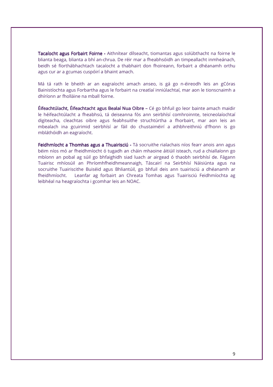Tacaíocht agus Forbairt Foirne - Aithnítear dílseacht, tiomantas agus solúbthacht na foirne le blianta beaga, blianta a bhí an-chrua. De réir mar a fheabhsóidh an timpeallacht inmheánach, beidh sé fíorthábhachtach tacaíocht a thabhairt don fhoireann, forbairt a dhéanamh orthu agus cur ar a gcumas cuspóirí a bhaint amach.

Má tá rath le bheith ar an eagraíocht amach anseo, is gá go n-éireodh leis an gCóras Bainistíochta agus Forbartha agus le forbairt na creatlaí inniúlachtaí, mar aon le tionscnaimh a dhíríonn ar fholláine na mball foirne.

**Éifeachtúlacht, Éifeachtacht agus Bealaí Nua Oibre –** Cé go bhfuil go leor bainte amach maidir le héifeachtúlacht a fheabhsú, tá deiseanna fós ann seirbhísí comhroinnte, teicneolaíochtaí digiteacha, cleachtas oibre agus feabhsuithe struchtúrtha a fhorbairt, mar aon leis an mbealach ina gcuirimid seirbhísí ar fáil do chustaiméirí a athbhreithniú d'fhonn is go mbláthóidh an eagraíocht.

Feidhmíocht a Thomhas agus a Thuairisciú - Tá socruithe rialachais níos fearr anois ann agus béim níos mó ar fheidhmíocht ó tugadh an cháin mhaoine áitiúil isteach, rud a chiallaíonn go mbíonn an pobal ag súil go bhfaighidh siad luach ar airgead ó thaobh seirbhísí de. Fágann Tuairisc mhíosúil an Phríomhfheidhmeannaigh, Táscairí na Seirbhísí Náisiúnta agus na socruithe Tuairiscithe Buiséid agus Bhliantúil, go bhfuil deis ann tuairisciú a dhéanamh ar fheidhmíocht. Leanfar ag forbairt an Chreata Tomhas agus Tuairisciú Feidhmíochta ag leibhéal na heagraíochta i gcomhar leis an NOAC.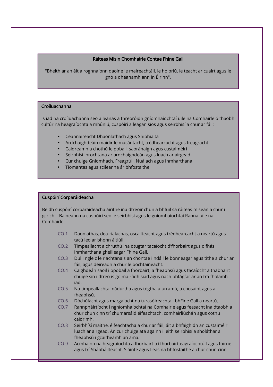#### Ráiteas Misin Chomhairle Contae Fhine Gall

"Bheith ar an áit a roghnaíonn daoine le maireachtáil, le hoibriú, le teacht ar cuairt agus le gnó a dhéanamh ann in Éirinn".

#### Croíluachanna

Ī I I I I Ļ

Ē I I I I I I I I I I I

I I I I I I I I Is iad na croíluachanna seo a leanas a threoróidh gníomhaíochtaí uile na Comhairle ó thaobh cultúr na heagraíochta a mhúnlú, cuspóirí a leagan síos agus seirbhísí a chur ar fáil:

- Ceannaireacht Dhaonlathach agus Shibhialta
- Ardchaighdeáin maidir le macántacht, trédhearcacht agus freagracht
- Caidreamh a chothú le pobail, saoránaigh agus custaiméirí
- Seirbhísí inrochtana ar ardchaighdeán agus luach ar airgead
- Cur chuige Gníomhach, Freagrúil, Nuálach agus Inmharthana
- Tiomantas agus scileanna ár bhfostaithe

#### Cuspóirí Corparáideacha

Beidh cuspóirí corparáideacha áirithe ina dtreoir chun a bhfuil sa ráiteas misean a chur i gcrích. Baineann na cuspóirí seo le seirbhísí agus le gníomhaíochtaí Ranna uile na Comhairle.

- CO.1 Daonlathas, dea-rialachas, oscailteacht agus trédhearcacht a neartú agus tacú leo ar bhonn áitiúil.
- inmharthana gheilleagar Fhine Gall. CO.2 Timpeallacht a chruthú ina dtugtar tacaíocht d'fhorbairt agus d'fhás
- CO.3 Dul i ngleic le riachtanais an chontae i ndáil le bonneagar agus tithe a chur ar fáil, agus deireadh a chur le bochtaineacht.
- CO.4 Caighdeán saoil i bpobail a fhorbairt, a fheabhsú agus tacaíocht a thabhairt chuige sin i dtreo is go mairfidh siad agus nach bhfágfar ar an trá fholamh iad.
- CO.5 Na timpeallachtaí nádúrtha agus tógtha a urramú, a chosaint agus a fheabhsú.
- CO.6 Dóchúlacht agus margaíocht na turasóireachta i bhFine Gall a neartú.
- CO.7 Rannpháirtíocht i ngníomhaíochtaí na Comhairle agus feasacht ina dtaobh a chur chun cinn trí chumarsáid éifeachtach, comhairliúchán agus cothú caidrimh.
- CO.8 Seirbhísí maithe, éifeachtacha a chur ar fáil, áit a bhfaighidh an custaiméir luach ar airgead. An cur chuige atá againn i leith seirbhísí a sholáthar a fheabhsú i gcaitheamh an ama.
- CO.9 Acmhainn na heagraíochta a fhorbairt trí fhorbairt eagraíochtúil agus foirne agus trí Shábháilteacht, Sláinte agus Leas na bhfostaithe a chur chun cinn.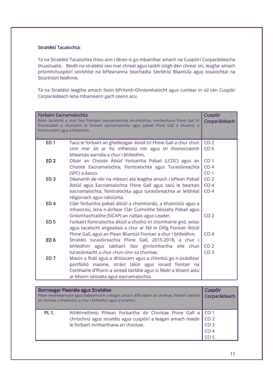# Straitéisí Tacaíochta:

Tá na Straitéisí Tacaíochta thíos ann i dtreo is go mbainfear amach na Cuspóirí Corparáideacha thuasluaite. Beidh na straitéisí seo mar chreat agus taobh istigh den chreat sin, leagfar amach príomhchuspóirí seirbhíse na bPleananna Seachadta Seirbhísí Bliantúla agus tosaíochtaí na Stiúrthóirí feidhme.

Tá na Straitéisí leagtha amach faoin bPríomh-Ghníomhaíocht agus cuirtear in iúl cén Cuspóir Corparáideach lena mbaineann gach ceann acu.

| Forbairt Eacnamaíochta<br>thionscnamh agus a bhainistiú. | Bonn tacaíocht a chur faoi fhorbairt eacnamaíochta struchtúrtha, inmharthana Fhine Gall trí<br>thionscadail a chuireann le forbairt eacnamaíochta agus pobail Fhine Gall a bheartú, a | <b>Cuspóir</b><br>Corparáideach |
|----------------------------------------------------------|---------------------------------------------------------------------------------------------------------------------------------------------------------------------------------------|---------------------------------|
| ED <sub>1</sub>                                          | Tacú le forbairt an gheilleagair áitiúil trí Fhine Gall a chur chun                                                                                                                   | CO <sub>2</sub>                 |
|                                                          | cinn mar áit ar fiú infheistiú inti agus trí thionscnaimh<br>bheartais earnála a chur i bhfeidhm.                                                                                     | CO <sub>6</sub>                 |
| ED <sub>2</sub>                                          | Obair an Choiste Áitiúil Forbartha Pobail (LCDC) agus an                                                                                                                              | CO <sub>1</sub>                 |
|                                                          | Choiste Eacnamaíochta, Fiontraíochta agus Turasóireachta                                                                                                                              | CO <sub>4</sub>                 |
|                                                          | (SPC) a éascú.                                                                                                                                                                        | CO <sub>1</sub>                 |
| ED <sub>3</sub>                                          | Déanamh de réir na mbeart atá leagtha amach i bPlean Pobail                                                                                                                           | CO <sub>2</sub>                 |
|                                                          | Áitiúil agus Eacnamaíochta Fhine Gall agus tacú le beartais                                                                                                                           | CO <sub>4</sub>                 |
|                                                          | eacnamaíochta, fiontraíochta agus turasóireachta ar leibhéal                                                                                                                          | CO <sub>4</sub>                 |
|                                                          | réigiúnach agus náisiúnta.                                                                                                                                                            |                                 |
| ED <sub>4</sub>                                          | Cláir forbartha pobail áitiúil a chomhordú, a bhainistiú agus a                                                                                                                       |                                 |
|                                                          | mhaoirsiú, lena n-áirítear Clár Cuimsithe Sóisialta Pobail agus                                                                                                                       |                                 |
|                                                          | Gníomhachtaithe (SICAP) an rialtais agus Leader.                                                                                                                                      | CO <sub>2</sub>                 |
| <b>ED 5</b>                                              | Forbairt fiontraíochta áitiúil a chothú trí chomhairle gnó, eolas                                                                                                                     |                                 |
|                                                          | agus tacaíocht airgeadais a chur ar fáil in Oifig Fiontair Áitiúil<br>Fhine Gall, agus an Plean Bliantúil Fiontair a chur i bhfeidhm.                                                 | CO <sub>4</sub>                 |
| ED <sub>6</sub>                                          | Straitéis turasóireachta Fhine Gall, 2015-2018, a chur i                                                                                                                              |                                 |
|                                                          | bhfeidhm agus tabhairt faoi ghníomhartha eile chun                                                                                                                                    | CO <sub>2</sub>                 |
|                                                          | turasóireacht a chur chun cinn sa chontae.                                                                                                                                            | CO <sub>3</sub>                 |
| ED <sub>7</sub>                                          | Maoin a fháil agus a dhiúscairt agus a chinntiú go n-úsáidtear                                                                                                                        |                                 |
|                                                          | portfóilió maoine, stráicí talún agus ionaid fiontair na                                                                                                                              |                                 |
|                                                          | Comhairle d'fhonn a oiread tairbhe agus is féidir a bhaint astu                                                                                                                       |                                 |
|                                                          | ar bhonn sóisialta agus eacnamaíochta.                                                                                                                                                |                                 |

|              | Bonneagar Pleanála agus Straitéise<br>Plean meántéarmach agus fadtéarmach a leagan amach d'fhorbairt an chontae, forbairt laethúil<br>an chontae a bhainistiú, a chur i bhfeidhm agus a smachtú. | Cuspóir<br>Corparáideach |
|--------------|--------------------------------------------------------------------------------------------------------------------------------------------------------------------------------------------------|--------------------------|
| <b>PL 1.</b> | Athbhreithniú Phlean Forbartha do Chontae Fhine Gall a CO 1                                                                                                                                      |                          |
|              | chríochnú agus straitéis agus cuspóirí a leagan amach maidir                                                                                                                                     | CO <sub>2</sub>          |
|              | le forbairt inmharthana an chontae.                                                                                                                                                              | CO <sub>3</sub>          |
|              |                                                                                                                                                                                                  | CO <sub>4</sub>          |
|              |                                                                                                                                                                                                  | CO <sub>5</sub>          |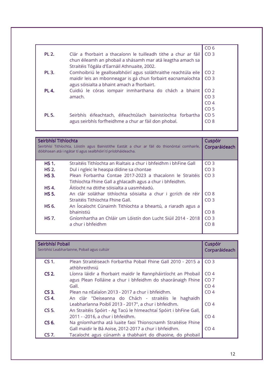|              |                                                                | CO <sub>6</sub> |
|--------------|----------------------------------------------------------------|-----------------|
| <b>PL 2.</b> | Clár a fhorbairt a thacaíonn le tuilleadh tithe a chur ar fáil | CO <sub>3</sub> |
|              | chun éileamh an phobail a shásamh mar atá leagtha amach sa     |                 |
|              | Straitéis Tógála d'Earnáil Athnuaite, 2002.                    |                 |
| PL 3.        | Comhoibriú le geallsealbhóirí agus soláthraithe reachtúla eile | CO <sub>2</sub> |
|              | maidir leis an mbonneagar is gá chun forbairt eacnamaíochta    | CO <sub>3</sub> |
|              | agus sóisialta a bhaint amach a fhorbairt.                     |                 |
| <b>PL 4.</b> | Cuidiú le córas iompair inmharthana do chách a bhaint          | CO <sub>2</sub> |
|              | amach.                                                         | CO <sub>3</sub> |
|              |                                                                | CO <sub>4</sub> |
|              |                                                                | CO <sub>5</sub> |
| <b>PL 5.</b> | Seirbhís éifeachtach, éifeachtúlach bainistíochta forbartha    | CO <sub>5</sub> |
|              | agus seirbhís forfheidhme a chur ar fáil don phobal.           | CO <sub>8</sub> |
|              |                                                                |                 |

| Seirbhísí Tithíochta | Seirbhísí Tithíochta, Lóistín agus Bainistithe Eastát a chur ar fáil do thionóntaí comhairle,<br>dóibhsean atá i ngátar tí agus sealbhóirí tí príobháideacha. | <b>Cuspóir</b><br>Corparáideach |
|----------------------|---------------------------------------------------------------------------------------------------------------------------------------------------------------|---------------------------------|
| <b>HS 1.</b>         | Straitéis Tithíochta an Rialtais a chur i bhfeidhm i bhFine Gall                                                                                              | CO <sub>3</sub>                 |
| <b>HS 2.</b>         | Dul i ngleic le heaspa dídine sa chontae                                                                                                                      | CO <sub>3</sub>                 |
| <b>HS 3.</b>         | Plean Forbartha Contae 2017-2023 a thacaíonn le Straitéis                                                                                                     | CO <sub>3</sub>                 |
|                      | Tithíochta Fhine Gall a ghlacadh agus a chur i bhfeidhm.                                                                                                      |                                 |
| <b>HS 4.</b>         | Áitíocht na dtithe sóisialta a uasmhéadú.                                                                                                                     |                                 |
| <b>HS 5.</b>         | An clár soláthar tithíochta sóisialta a chur i gcrích de réir                                                                                                 | CO <sub>8</sub>                 |
|                      | Straitéis Tithíochta Fhine Gall.                                                                                                                              | CO <sub>3</sub>                 |
| <b>HS 6.</b>         | An Íocaíocht Cúnaimh Tithíochta a bheartú, a riaradh agus a                                                                                                   |                                 |
|                      | bhainistiú                                                                                                                                                    | CO 8                            |
| <b>HS 7.</b>         | Gníomhartha an Chláir um Lóistín don Lucht Siúil 2014 - 2018                                                                                                  | CO <sub>3</sub>                 |
|                      | a chur i bhfeidhm                                                                                                                                             | CO <sub>8</sub>                 |

| Seirbhísí Pobail | Seirbhísí Leabharlainne, Pobail agus cultúir                                   | <b>Cuspóir</b><br>Corparáideach |
|------------------|--------------------------------------------------------------------------------|---------------------------------|
| <b>CS 1.</b>     | Plean Straitéiseach Forbartha Pobail Fhine Gall 2010 - 2015 a<br>athbhreithniú | CO <sub>3</sub>                 |
| <b>CS 2.</b>     | Líonra láidir a fhorbairt maidir le Rannpháirtíocht an Phobail                 | CO <sub>4</sub>                 |
|                  | agus Plean Folláine a chur i bhfeidhm do shaoránaigh Fhine                     | CO <sub>7</sub>                 |
|                  | Gall.                                                                          | CO <sub>4</sub>                 |
| CS <sub>3</sub>  | Plean na nEalaíon 2013 - 2017 a chur i bhfeidhm.                               | CO <sub>4</sub>                 |
| <b>CS 4.</b>     | An clár "Deiseanna do Chách - straitéis le haghaidh                            |                                 |
|                  | Leabharlanna Poiblí 2013 - 2017", a chur i bhfeidhm.                           | CO <sub>4</sub>                 |
| CS 5.            | An Straitéis Spóirt - Ag Tacú le hImeachtaí Spóirt i bhFine Gall,              |                                 |
|                  | 2011 - -2016, a chur i bhfeidhm.                                               | CO <sub>4</sub>                 |
| CS 6.            | Na gníomhartha atá luaite faoi Thionscnamh Straitéise Fhine                    |                                 |
|                  | Gall maidir le Bá Aoise, 2012-2017 a chur i bhfeidhm.                          | CO <sub>4</sub>                 |
| CS 7.            | Tacaíocht agus cúnamh a thabhairt do dhaoine, do phobail                       |                                 |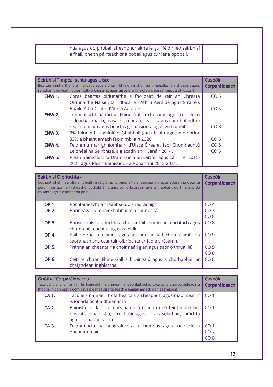nua agus do phobail sheanbhunaithe le gur féidir leo seirbhísí a fháil, bheith páirteach sna pobail agus cur lena bpobail.

| Seirbhísí Timpeallachta agus Uisce<br>Beartais inmharthana a fhorbairt agus a chur i bhfeidhm chun an timpeallacht a chosaint agus<br>soláthar is dáileadh uisce inólta a chosaint, agus uisce dramhaíola a chóireáil agus a dhiúscairt. |                                                                                                                              | <b>Cuspóir</b><br>Corparáideach |
|------------------------------------------------------------------------------------------------------------------------------------------------------------------------------------------------------------------------------------------|------------------------------------------------------------------------------------------------------------------------------|---------------------------------|
| ENW 1.                                                                                                                                                                                                                                   | Córas beartas oiriúnaithe a fhorbairt de réir an Chreata<br>Oiriúnaithe Náisiúnta i dtaca le hAthrú Aeráide agus Straitéis   | CO <sub>5</sub>                 |
|                                                                                                                                                                                                                                          | Bhaile Átha Cliath d'Athrú Aeráide                                                                                           | CO <sub>5</sub>                 |
| <b>ENW 2.</b>                                                                                                                                                                                                                            | Timpeallacht nádúrtha Fhine Gall a chosaint agus cur léi trí<br>oideachas maith, feasacht, monatóireacht agus cur i bhfeidhm |                                 |
|                                                                                                                                                                                                                                          | reachtaíochta agus beartas go náisiúnta agus go háitiúil.                                                                    | CO <sub>8</sub>                 |
| <b>ENW 3.</b>                                                                                                                                                                                                                            | 3% fuinnimh a ghiniúint/shábháil gach bliain agus mórsprioc                                                                  |                                 |
|                                                                                                                                                                                                                                          | 33% a bhaint amach faoin mbliain 2020.                                                                                       | CO <sub>5</sub>                 |
| ENW <sub>4</sub>                                                                                                                                                                                                                         | Feidhmiú mar ghníomhairí d'Uisce Éireann faoi Chomhaontú                                                                     | CO <sub>8</sub>                 |
|                                                                                                                                                                                                                                          | Leibhéal na Seirbhíse, a glacadh an 1 Eanáir 2014.                                                                           | CO <sub>5</sub>                 |
| <b>ENW 5.</b>                                                                                                                                                                                                                            | Plean Bainistíochta Dramhaíola an Oirthir agus Lár Tíre, 2015-                                                               |                                 |
|                                                                                                                                                                                                                                          | 2021 agus Plean Bainistíochta Abhantraí 2015-2021.                                                                           |                                 |

| Seirbhísí Oibríochta -<br>chuanta, agus d'áiseanna poiblí. | Cothabháil ghinearálta ar bhóithre réigiúnacha agus áitiúla, páirceanna agus spásanna oscailte<br>poiblí mar aon le tírdreachú, cothabháil crann, bailiú bruscair, aire a thabhairt do thránna, do | <b>Cuspóir</b><br>Corparáideach |
|------------------------------------------------------------|----------------------------------------------------------------------------------------------------------------------------------------------------------------------------------------------------|---------------------------------|
| <b>OP 1.</b>                                               | Rochtaineacht a fheabhsú do shaoránaigh                                                                                                                                                            | CO <sub>4</sub>                 |
| <b>OP 2.</b>                                               | Bonneagar iompair shábháilte a chur ar fáil                                                                                                                                                        | CO <sub>3</sub>                 |
|                                                            |                                                                                                                                                                                                    | CO <sub>8</sub>                 |
| <b>OP 3.</b>                                               | Bunseirbhísí oibríochta a chur ar fáil chomh héifeachtach agus<br>chomh héifeachtúil agus is féidir.                                                                                               | CO <sub>8</sub>                 |
| <b>OP 4.</b>                                               | Baill foirne a oiliúint agus a chur ar fáil chun éilimh na<br>saoránach sna ceantair oibríochta ar fad a shásamh.                                                                                  | CO <sub>9</sub>                 |
| <b>OP 5.</b>                                               | Tránna an cheantair a choinneáil glan agus saor ó thruailliú                                                                                                                                       | CO <sub>5</sub>                 |
|                                                            |                                                                                                                                                                                                    | CO <sub>8</sub>                 |
| OP 6.                                                      | Ceithre chuan Fhine Gall a bhainistiú agus a chothabháil ar<br>chaighdeán inghlactha.                                                                                                              | CO <sub>8</sub>                 |

| Gnóthaí Corparáideacha | Tacaíocht a chur ar fáil le haghaidh feidhmeanna daonlathacha; tacaíocht chorparáideach a<br>thabhairt don eagraíocht agus pleanáil straitéiseach a leagan amach don eagraíocht | Cuspóir<br>Corparáideach                  |
|------------------------|---------------------------------------------------------------------------------------------------------------------------------------------------------------------------------|-------------------------------------------|
| CA 1.                  | Tacú leis na Baill Thofa beartais a cheapadh agus maoirseacht<br>is ionadaíocht a dhéanamh                                                                                      | CO <sub>1</sub>                           |
| CA 2.                  | Bainistíocht láidir a dhéanamh ó thaobh gnó feidhmiúcháin,<br>rioscaí a bhainistiú; struchtúir agus córais soláthair, iniúchta<br>agus corparáideacha.                          | CO <sub>1</sub>                           |
| CA 3.                  | Feidhmíocht na heagraíochta a thomhas agus tuairisciú a<br>dhéanamh air.                                                                                                        | CO <sub>1</sub><br>CO <sub>7</sub><br>COR |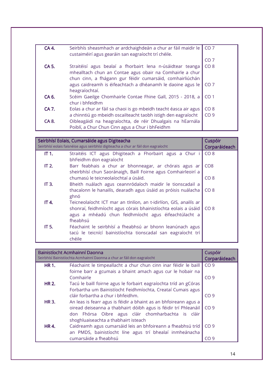| CA 4.       | Seirbhís sheasmhach ar ardchaighdeán a chur ar fáil maidir le<br>custaiméirí agus gearáin san eagraíocht trí chéile.                                                                | CO <sub>7</sub> |
|-------------|-------------------------------------------------------------------------------------------------------------------------------------------------------------------------------------|-----------------|
|             |                                                                                                                                                                                     | CO <sub>7</sub> |
| CA 5.       | Straitéisí agus bealaí a fhorbairt lena n-úsáidtear teanga<br>mhealltach chun an Contae agus obair na Comhairle a chur<br>chun cinn, a fhágann gur féidir cumarsáid, comhairliúchán | CO <sub>8</sub> |
|             | agus caidreamh is éifeachtach a dhéanamh le daoine agus le<br>heagraíochtaí.                                                                                                        | CO <sub>7</sub> |
| CA 6.       | Scéim Gaeilge Chomhairle Contae Fhine Gall, 2015 - 2018, a<br>chur i bhfeidhm                                                                                                       | CO <sub>1</sub> |
| <b>CA7.</b> | Eolas a chur ar fáil sa chaoi is go mbeidh teacht éasca air agus                                                                                                                    | CO <sub>8</sub> |
|             | a chinntiú go mbeidh oscailteacht taobh istigh den eagraíocht                                                                                                                       | CO <sub>9</sub> |
| CA 8.       | Oibleagáidí na heagraíochta, de réir Dhualgais na hEarnála<br>Poiblí, a Chur Chun Cinn agus a Chur i bhFeidhm                                                                       |                 |

|       | Seirbhísí Eolais, Cumarsáide agus Digiteacha<br>Seirbhísí eolais faisnéise agus seirbhísí digiteacha a chur ar fáil don eagraíocht  | Cuspóir<br>Corparáideach |
|-------|-------------------------------------------------------------------------------------------------------------------------------------|--------------------------|
| IT 1. | Straitéis ICT agus Dhigiteach a Fhorbairt agus a Chur i<br>bhFeidhm don eagraíocht                                                  | CO <sub>8</sub>          |
| IT 2. | Barr feabhais a chur ar bhonneagar, ar chórais agus ar<br>sheirbhísí chun Saoránaigh, Baill Foirne agus Comhairleoirí a             | CO <sub>8</sub>          |
|       | chumasú le teicneolaíochtaí a úsáid.                                                                                                | CO <sub>8</sub>          |
| IT 3. | Bheith nuálach agus ceannródaíoch maidir le tionscadail a                                                                           |                          |
|       | thacaíonn le hanailís, dearadh agus úsáid as próisis nuálacha<br>ghnó                                                               | CO <sub>8</sub>          |
| IT 4. | Teicneolaíocht ICT mar an tInlíon, an t-idirlíon, GIS, anailís ar                                                                   |                          |
|       | shonraí, feidhmíocht agus córais bhainistíochta eolais a úsáid<br>agus a mhéadú chun feidhmíocht agus éifeachtúlacht a<br>fheabhsú  | CO <sub>8</sub>          |
| IT 5. | Féachaint le seirbhísí a fheabhsú ar bhonn leanúnach agus<br>tacú le teicnící bainistíochta tionscadal san eagraíocht trí<br>chéile |                          |

|              | <b>Bainistíocht Acmhainní Daonna</b><br>Seirbhísí Bainistíochta Acmhainní Daonna a chur ar fáil don eagraíocht | <b>Cuspóir</b><br>Corparáideach |
|--------------|----------------------------------------------------------------------------------------------------------------|---------------------------------|
| <b>HR1.</b>  | Féachaint le timpeallacht a chur chun cinn inar féidir le baill                                                | CO <sub>9</sub>                 |
|              | foirne barr a gcumais a bhaint amach agus cur le hobair na                                                     |                                 |
|              | Comhairle                                                                                                      | CO <sub>9</sub>                 |
| <b>HR 2.</b> | Tacú le baill foirne agus le forbairt eagraíochta tríd an gCóras                                               |                                 |
|              | Forbartha um Bainistíocht Feidhmíochta, Creataí Cumais agus                                                    |                                 |
|              | cláir forbartha a chur i bhfeidhm.                                                                             | CO <sub>9</sub>                 |
| <b>HR3.</b>  | An leas is fearr agus is féidir a bhaint as an bhfoireann agus a                                               |                                 |
|              | oiread deiseanna a thabhairt dóibh agus is féidir trí Phleanáil                                                | CO <sub>9</sub>                 |
|              | don Fhórsa Oibre agus cláir chomharbachta is cláir                                                             |                                 |
|              | shoghluaiseachta a thabhairt isteach                                                                           |                                 |
| <b>HR4.</b>  | Caidreamh agus cumarsáid leis an bhfoireann a fheabhsú tríd                                                    | CO <sub>9</sub>                 |
|              | an PMDS, bainistíocht líne agus trí bhealaí inmheánacha                                                        |                                 |
|              | cumarsáide a fheabhsú                                                                                          | CO 9                            |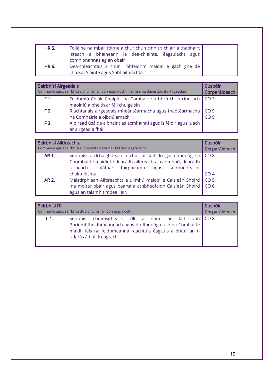| <b>HR 5.</b> | Folláine na mball foirne a chur chun cinn trí chláir a thabhairt                               |  |  |  |  |
|--------------|------------------------------------------------------------------------------------------------|--|--|--|--|
|              | isteach a bhaineann le dea-shláinte, éagsúlacht agus                                           |  |  |  |  |
|              | comhionannas ag an obair                                                                       |  |  |  |  |
| <b>HR 6.</b> | Dea-chleachtais a chur i bhfeidhm maidir le gach gné de<br>chúrsaí Sláinte agus Sábháilteachta |  |  |  |  |

| Seirbhísí Airgeadais | Comhairle agus seirbhísí a chur ar fáil don eagraíocht i réimse na Bainistíochta Airgeadais               | Cuspóir<br>Corparáideach        |
|----------------------|-----------------------------------------------------------------------------------------------------------|---------------------------------|
| F 1.                 | Feidhmiú Chláir Chaipitil na Comhairle a bhrú chun cinn ach   CO 3<br>maoiniú a bheith ar fáil chuige sin |                                 |
| F 2.                 | Riachtanais airgeadais mheántéarmacha agus fhadtéarmacha<br>na Comhairle a oibriú amach                   | $\big $ CO 9<br>CO <sub>9</sub> |
| F3.                  | A oiread úsáide a bhaint as acmhainní agus is féidir agus luach<br>ar airgead a fháil                     |                                 |

| Seirbhísí Ailtireachta<br>Comhairle agus seirbhísí ailtireachta a chur ar fáil don eagraíocht | Cuspóir<br>Corparáideach                                                                                                                                                      |                                    |
|-----------------------------------------------------------------------------------------------|-------------------------------------------------------------------------------------------------------------------------------------------------------------------------------|------------------------------------|
| AR 1.                                                                                         | Seirbhísí ardchaighdeáin a chur ar fáil do gach rannóg sa<br>Chomhairle maidir le dearadh ailtireachta, caomhnú, dearadh<br>uirbeach, soláthar foirgneamh agus suirbhéireacht | CO <sub>8</sub>                    |
| <b>AR 2.</b>                                                                                  | chainníochta.<br>Máistirphlean Ailtireachta a ullmhú maidir le Caisleán Shoird                                                                                                | CO <sub>4</sub><br>CO <sub>5</sub> |
|                                                                                               | ina moltar obair agus bearta a athbheofaidh Caisleán Shoird<br>CO <sub>6</sub>                                                                                                |                                    |

| Seirbhísí Dlí | Comhairle agus seirbhísí dlí a chur ar fáil don eagraíocht                                                                                                                                               | Cuspóir<br>Corparáideach |
|---------------|----------------------------------------------------------------------------------------------------------------------------------------------------------------------------------------------------------|--------------------------|
| L 1.          | Seirbhís chuimsitheach dlí a chur ar fáil don CO8<br>Phríomhfheidhmeannach agus do Rannóga uile na Comhairle<br>maidir leis na feidhmeanna reachtúla éagsúla a bhfuil an t-<br>údarás áitiúil freagrach. |                          |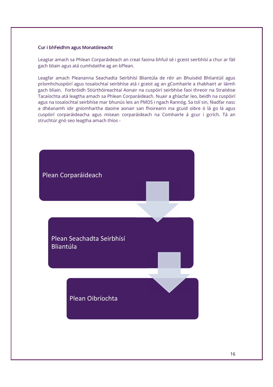#### Cur i bhFeidhm agus Monatóireacht

Leagtar amach sa Phlean Corparáideach an creat faoina bhfuil sé i gceist seirbhísí a chur ar fáil gach bliain agus atá cumhdaithe ag an bPlean.

Leagfar amach Pleananna Seachadta Seirbhísí Bliantúla de réir an Bhuiséid Bhliantúil agus príomhchuspóirí agus tosaíochtaí seirbhíse atá i gceist ag an gComhairle a thabhairt ar láimh gach bliain. Forbróidh Stiúrthóireachtaí Aonair na cuspóirí seirbhíse faoi threoir na Straitéise Tacaíochta atá leagtha amach sa Phlean Corparáideach. Nuair a ghlacfar leo, beidh na cuspóirí agus na tosaíochtaí seirbhíse mar bhunús leis an PMDS i ngach Rannóg. Sa tslí sin, féadfar nasc a dhéanamh idir gníomhartha daoine aonair san fhoireann ina gcuid oibre ó lá go lá agus cuspóirí corparáideacha agus misean corparáideach na Comhairle á gcur i gcrích. Tá an struchtúr gnó seo leagtha amach thíos -

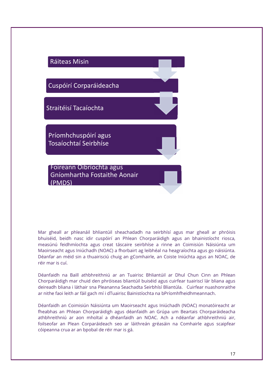

Mar gheall ar phleanáil bhliantúil sheachadadh na seirbhísí agus mar gheall ar phróisis bhuiséid, beidh nasc idir cuspóirí an Phlean Chorparáidigh agus an bhainistíocht riosca, measúnú feidhmíochta agus creat táscaire seirbhíse a rinne an Coimisiún Náisiúnta um Maoirseacht agus Iniúchadh (NOAC) a fhorbairt ag leibhéal na heagraíochta agus go náisiúnta. Déanfar an méid sin a thuairisciú chuig an gComhairle, an Coiste Iniúchta agus an NOAC, de réir mar is cuí.

Déanfaidh na Baill athbhreithniú ar an Tuairisc Bhliantúil ar Dhul Chun Cinn an Phlean Chorparáidigh mar chuid den phróiseas bliantúil buiséid agus cuirfear tuairiscí lár bliana agus deireadh bliana i láthair sna Pleananna Seachadta Seirbhísí Bliantúla. Cuirfear nuashonraithe ar nithe faoi leith ar fáil gach mí i dTuairisc Bainistíochta na bPríomhfheidhmeannach.

Déanfaidh an Coimisiún Náisiúnta um Maoirseacht agus Iniúchadh (NOAC) monatóireacht ar fheabhas an Phlean Chorparáidigh agus déanfaidh an Grúpa um Beartais Chorparáideacha athbhreithniú ar aon mholtaí a dhéanfaidh an NOAC. Ach a ndéanfar athbhreithniú air, foilseofar an Plean Corparáideach seo ar láithreán gréasáin na Comhairle agus scaipfear cóipeanna crua ar an bpobal de réir mar is gá.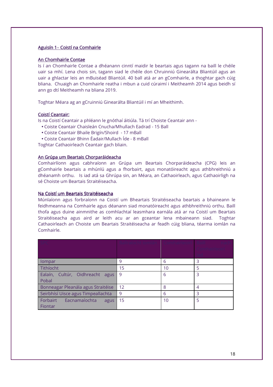#### Aguisín 1 - Coistí na Comhairle

#### An Chomhairle Contae

Is í an Chomhairle Contae a dhéanann cinntí maidir le beartais agus tagann na baill le chéile uair sa mhí. Lena chois sin, tagann siad le chéile don Chruinniú Ginearálta Bliantúil agus an uair a ghlactar leis an mBuiséad Bliantúil. 40 ball atá ar an gComhairle, a thoghtar gach cúig bliana. Chuaigh an Chomhairle reatha i mbun a cuid cúraimí i Meitheamh 2014 agus beidh sí ann go dtí Meitheamh na bliana 2019.

Toghtar Méara ag an gCruinniú Ginearálta Bliantúil i mí an Mheithimh.

#### Coistí Ceantair:

Is na Coistí Ceantair a phléann le gnóthaí áitiúla. Tá trí Choiste Ceantair ann -

- Coiste Ceantair Chaisleán Cnucha/Mhullach Eadrad 15 Ball
- Coiste Ceantair Bhaile Brigín/Shoird 17 mBall
- Coiste Ceantair Bhinn Éadair/Mullach Íde 8 mBall

Toghtar Cathaoirleach Ceantair gach bliain.

#### An Grúpa um Beartais Chorparáideacha

Comhairlíonn agus cabhraíonn an Grúpa um Beartais Chorparáideacha (CPG) leis an gComhairle beartais a mhúnlú agus a fhorbairt, agus monatóireacht agus athbhreithniú a dhéanamh orthu. Is iad atá sa Ghrúpa sin, an Méara, an Cathaoirleach, agus Cathaoirligh na sé Choiste um Beartais Straitéiseacha.

#### Na Coistí um Beartais Straitéiseacha

Múnlaíonn agus forbraíonn na Coistí um Bheartais Straitéiseacha beartais a bhaineann le feidhmeanna na Comhairle agus déanann siad monatóireacht agus athbhreithniú orthu. Baill thofa agus duine ainmnithe as comhlachtaí leasmhara earnála atá ar na Coistí um Beartais Straitéiseacha agus aird ar leith acu ar an gceantar lena mbaineann siad. Toghtar Cathaoirleach an Choiste um Beartais Straitéiseacha ar feadh cúig bliana, téarma iomlán na Comhairle.

| lompar                             | 9  | 6  |   |
|------------------------------------|----|----|---|
| Tithíocht                          | 15 | 10 |   |
| Ealaín, Cultúr, Oidhreacht<br>agus | 9  | 6  | 3 |
| Pobal                              |    |    |   |
| Bonneagar Pleanála agus Straitéise | 12 | 8  |   |
| Seirbhísí Uisce agus Timpeallachta | 9  | 6  |   |
| Forbairt<br>Eacnamaíochta<br>agus  | 15 | 10 |   |
| Fiontar                            |    |    |   |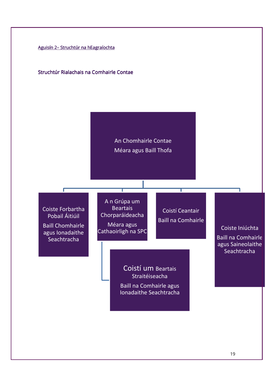Aguisín 2– Struchtúr na hEagraíochta

Struchtúr Rialachais na Comhairle Contae

An Chomhairle Contae Méara agus Baill Thofa

Coiste Forbartha Pobail Áitiúil

Г

Baill Chomhairle agus Ionadaithe **Seachtracha** 

A n Grúpa um **Beartais** Chorparáideacha Méara agus Cathaoirligh na SPC

т

Coistí Ceantair Baill na Comhairle

Coiste Iniúchta Baill na Comhairle agus Saineolaithe **Seachtracha** 

Coistí um Beartais Straitéiseacha

Baill na Comhairle agus Ionadaithe Seachtracha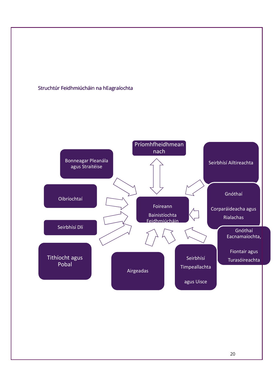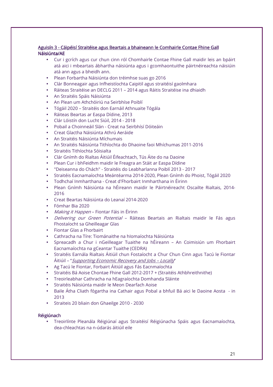### Aguisín 3 - Cáipéisí Straitéise agus Beartais a bhaineann le Comhairle Contae Fhine Gall Náisiúnta/AE

- Cur i gcrích agus cur chun cinn ról Chomhairle Contae Fhine Gall maidir leis an bpáirt atá aici i mbeartais ábhartha náisiúnta agus i gcomhaontuithe páirtnéireachta náisiúin atá ann agus a bheidh ann.
- Plean Forbartha Náisiúnta don tréimhse suas go 2016
- Clár Bonneagair agus Infheistíochta Caipitil agus straitéisí gaolmhara
- Ráiteas Straitéise an DECLG 2011 2014 agus Ráitis Straitéise ina dhiaidh
- An Straitéis Spáis Náisiúnta
- An Plean um Athchóiriú na Seirbhíse Poiblí
- Tógáil 2020 Straitéis don Earnáil Athnuaite Tógála
- Ráiteas Beartas ar Easpa Dídine, 2013
- Clár Lóistín don Lucht Siúil, 2014 2018
- Pobail a Choinneáil Slán Creat na Seirbhísí Dóiteáin
- Creat Glactha Náisiúnta Athrú Aeráide
- An Straitéis Náisiúnta Míchumais
- An Straitéis Náisiúnta Tithíochta do Dhaoine faoi Mhíchumas 2011-2016
- Straitéis Tithíochta Sóisialta
- Clár Gnímh do Rialtas Áitiúil Éifeachtach, Tús Áite do na Daoine
- Plean Cur i bhFeidhm maidir le Freagra an Stáit ar Easpa Dídine
- "Deiseanna do Chách" Straitéis do Leabharlanna Poiblí 2013 2017
- Straitéis Eacnamaíochta Meántéarma 2014-2020, Plean Gnímh do Phoist, Tógáil 2020
- Todhchaí Inmharthana Creat d'Fhorbairt Inmharthana in Éirinn
- Plean Gnímh Náisiúnta na hÉireann maidir le Páirtnéireacht Oscailte Rialtais, 2014- 2016
- Creat Beartas Náisiúnta do Leanaí 2014-2020
- Fómhar Bia 2020
- *Making it Happen* Fiontar Fáis in Éirinn
- Delivering our Green Potential Ráiteas Beartais an Rialtais maidir le Fás agus Fhostaíocht sa Gheilleagar Glas
- Fiontar Glas a Fhorbairt
- Cathracha na Tíre: Tiománaithe na hIomaíochta Náisiúnta
- Spreacadh a Chur i nGeilleagar Tuaithe na hÉireann An Coimisiún um Fhorbairt Eacnamaíochta na gCeantar Tuaithe (CEDRA)
- Straitéis Earnála Rialtais Áitiúil chun Fostaíocht a Chur Chun Cinn agus Tacú le Fiontar Áitiúil – "Supporting Economic Recovery and Jobs – Locally"
- Ag Tacú le Fiontar, Forbairt Áitiúil agus Fás Eacnmaíochta
- Straitéis Bá Aoise Chontae Fhine Gall 2012-2017 + (Straitéis Athbhreithnithe)
- Treoirleabhar Cathracha na hEagraíochta Domhanda Sláinte
- Straitéis Náisiúnta maidir le Meon Dearfach Aoise
- Baile Átha Cliath fógartha ina Cathair agus Pobal a bhfuil Bá aici le Daoine Aosta in 2013
- Straiteis 20 bliain don Ghaeilge 2010 2030

#### Réigiúnach

• Treoirlínte Pleanála Réigiúnaí agus Straitéisí Réigiúnacha Spáis agus Eacnamaíochta, dea-chleachtas na n-údarás áitiúil eile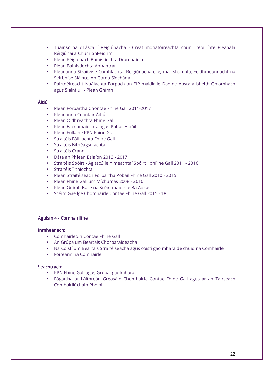- Tuairisc na dTáscairí Réigiúnacha Creat monatóireachta chun Treoirlínte Pleanála Réigiúnaí a Chur i bhFeidhm
- Plean Réigiúnach Bainistíochta Dramhaíola
- Plean Bainistíochta Abhantraí
- Pleananna Straitéise Comhlachtaí Réigiúnacha eile, mar shampla, Feidhmeannacht na Seirbhíse Sláinte, An Garda Síochána
- Páirtnéireacht Nuálachta Eorpach an EIP maidir le Daoine Aosta a bheith Gníomhach agus Sláintiúil - Plean Gnímh

#### Áitiúil

- Plean Forbartha Chontae Fhine Gall 2011-2017
- Pleananna Ceantair Áitiúil
- Plean Oidhreachta Fhine Gall
- Plean Eacnamaíochta agus Pobail Áitiúil
- Plean Folláine PPN Fhine Gall
- Straitéis Fóillíochta Fhine Gall
- Straitéis Bithéagsúlachta
- Straitéis Crann
- Dáta an Phlean Ealaíon 2013 2017
- Straitéis Spóirt Ag tacú le himeachtaí Spóirt i bhFine Gall 2011 2016
- Straitéis Tithíochta
- Plean Straitéiseach Forbartha Pobail Fhine Gall 2010 2015
- Plean Fhine Gall um Míchumas 2008 2010
- Plean Gnímh Baile na Scéirí maidir le Bá Aoise
- Scéim Gaeilge Chomhairle Contae Fhine Gall 2015 18

#### Aguisín 4 - Comhairlithe

#### Inmheánach:

- Comhairleoirí Contae Fhine Gall
- An Grúpa um Beartais Chorparáideacha
- Na Coistí um Beartais Straitéiseacha agus coistí gaolmhara de chuid na Comhairle
- Foireann na Comhairle

#### Seachtrach:

- PPN Fhine Gall agus Grúpaí gaolmhara
- Fógartha ar Láithreán Gréasáin Chomhairle Contae Fhine Gall agus ar an Tairseach Comhairliúcháin Phoiblí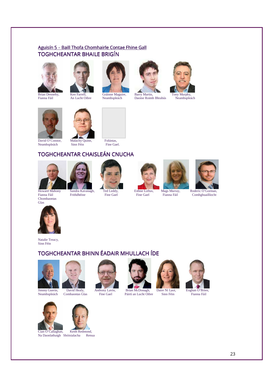# Aguisín 5 - Baill Thofa Chomhairle Contae Fhine Gall TOGHCHEANTAR BHAILE BRIGÍN







Fairly Franch, Daoine Roimh Bhrabús





Neamhspleách



TOGHCHEANTAR CHAISLEÁN CNUCHA











Howard Mahony Sandra Kavanagh, Ted Leddy, Eithne Loftus, Mags Murray, Roderic O'Gorman, Comhghuaillíocht



Natalie Treacy, Sinn Féin

# TOGHCHEANTAR BHINN ÉADAIR MHULLACH ÍDE









Jimmy Guerin, David Healy, Anthony Lavin, Brian McDonagh, Daire Ní Laoi, Eoghan O'Brien, Páirtí an Lucht Oibre







Cian O'Callaghan, Keith Redmond,<br>Na Daonlathaigh Shóisialacha Renua Na Daonlathaigh Shóisialacha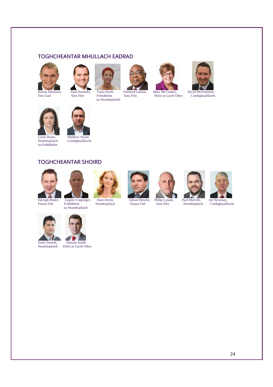# TOGHCHEANTAR MHULLACH EADRAD





 Kieran Dennison, Paul Donnelly, Tania Doyle, Edmund Lukusa, Mary McCamley, David McGuinness, Fine Gael Sinn Féin Frithdhéine Sinn Féin Páirtí an Lucht Oibre Comhghuaillíocht na Neamhspleách







na Frithdhéine

Lorna Nolan,<br>
Matthew Waine<br>
Neamhspleách<br>
Comhghuaillíoch Comhghuaillíocht

# TOGHCHEANTAR SHOIRD





Darragh Butler, Eugene Coppinger, Anne Devitt, Adrian Henchy, Philip Lynam, Paul Mulville, Joe Newman, Fianna Fáil<br>Paul Mulville, Joe Newman, Neamhspleách Neamhspleách Comhghuaill na Neamhspleách









Comhghuaillíocht





**Justin Sinnott, Duncan Smith,<br>Neamhspleách Páirtí an Lucht Oil** Páirtí an Lucht Oibre